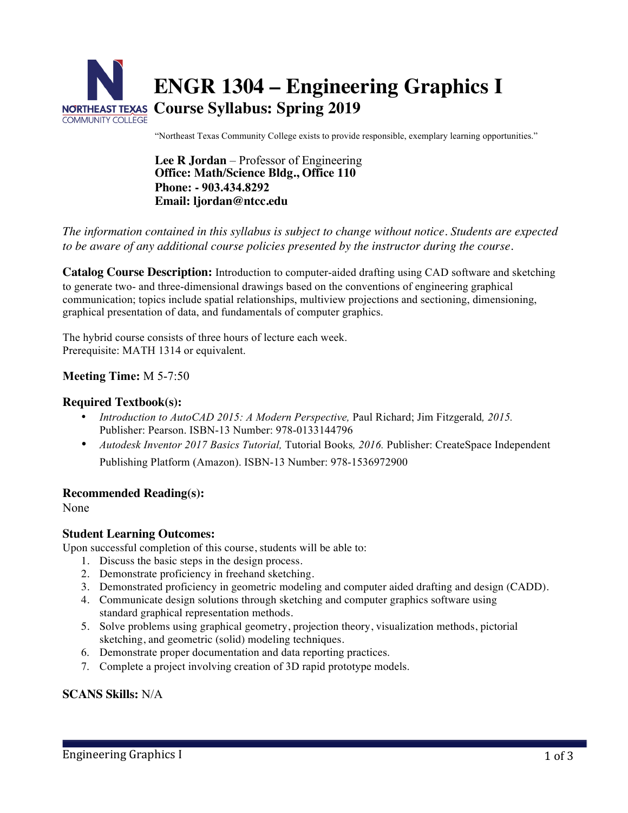

"Northeast Texas Community College exists to provide responsible, exemplary learning opportunities."

**Lee R Jordan** – Professor of Engineering **Office: Math/Science Bldg., Office 110 Phone: - 903.434.8292 Email: ljordan@ntcc.edu** 

#### *The information contained in this syllabus is subject to change without notice. Students are expected to be aware of any additional course policies presented by the instructor during the course.*

**Catalog Course Description:** Introduction to computer-aided drafting using CAD software and sketching to generate two- and three-dimensional drawings based on the conventions of engineering graphical communication; topics include spatial relationships, multiview projections and sectioning, dimensioning, graphical presentation of data, and fundamentals of computer graphics.

The hybrid course consists of three hours of lecture each week. Prerequisite: MATH 1314 or equivalent.

#### **Meeting Time:** M 5-7:50

#### **Required Textbook(s):**

- *Introduction to AutoCAD 2015: A Modern Perspective,* Paul Richard; Jim Fitzgerald*, 2015.* Publisher: Pearson. ISBN-13 Number: 978-0133144796
- *Autodesk Inventor 2017 Basics Tutorial,* Tutorial Books*, 2016.* Publisher: CreateSpace Independent Publishing Platform (Amazon). ISBN-13 Number: 978-1536972900

#### **Recommended Reading(s):**

None

#### **Student Learning Outcomes:**

Upon successful completion of this course, students will be able to:

- 1. Discuss the basic steps in the design process.
- 2. Demonstrate proficiency in freehand sketching.
- 3. Demonstrated proficiency in geometric modeling and computer aided drafting and design (CADD).
- 4. Communicate design solutions through sketching and computer graphics software using standard graphical representation methods.
- 5. Solve problems using graphical geometry, projection theory, visualization methods, pictorial sketching, and geometric (solid) modeling techniques.
- 6. Demonstrate proper documentation and data reporting practices.
- 7. Complete a project involving creation of 3D rapid prototype models.

#### **SCANS Skills:** N/A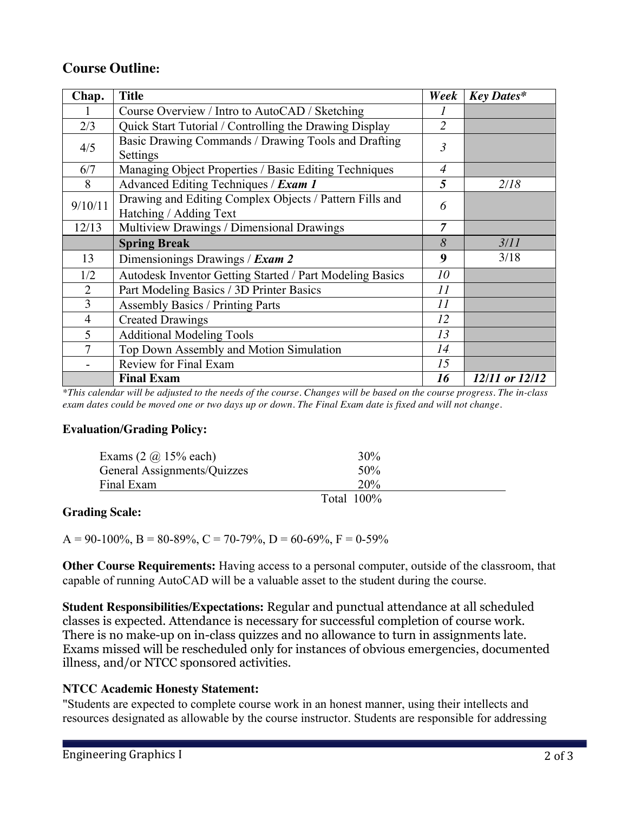# **Course Outline:**

| Chap.          | <b>Title</b>                                                                      | Week           | <b>Key Dates*</b> |
|----------------|-----------------------------------------------------------------------------------|----------------|-------------------|
|                | Course Overview / Intro to AutoCAD / Sketching                                    |                |                   |
| 2/3            | Quick Start Tutorial / Controlling the Drawing Display                            | $\overline{2}$ |                   |
| 4/5            | Basic Drawing Commands / Drawing Tools and Drafting<br>Settings                   | $\mathfrak{Z}$ |                   |
| 6/7            | Managing Object Properties / Basic Editing Techniques                             | $\overline{4}$ |                   |
| 8              | Advanced Editing Techniques / Exam 1                                              | 5              | 2/18              |
| 9/10/11        | Drawing and Editing Complex Objects / Pattern Fills and<br>Hatching / Adding Text | 6              |                   |
| 12/13          | Multiview Drawings / Dimensional Drawings                                         | $\overline{7}$ |                   |
|                | <b>Spring Break</b>                                                               | 8              | 3/11              |
| 13             | Dimensionings Drawings / Exam 2                                                   | 9              | 3/18              |
| 1/2            | Autodesk Inventor Getting Started / Part Modeling Basics                          | 10             |                   |
| 2              | Part Modeling Basics / 3D Printer Basics                                          | II             |                   |
| 3              | <b>Assembly Basics / Printing Parts</b>                                           | 11             |                   |
| $\overline{4}$ | <b>Created Drawings</b>                                                           | 12             |                   |
| 5              | <b>Additional Modeling Tools</b>                                                  | 13             |                   |
|                | Top Down Assembly and Motion Simulation                                           | 14             |                   |
|                | Review for Final Exam                                                             | 15             |                   |
|                | <b>Final Exam</b>                                                                 | 16             | 12/11 or 12/12    |

*\*This calendar will be adjusted to the needs of the course. Changes will be based on the course progress. The in-class exam dates could be moved one or two days up or down. The Final Exam date is fixed and will not change.* 

### **Evaluation/Grading Policy:**

| Exams $(2 \omega 15\% \text{ each})$ | $30\%$        |  |
|--------------------------------------|---------------|--|
| General Assignments/Quizzes          | 50%           |  |
| Final Exam                           | 20%           |  |
|                                      | Total $100\%$ |  |

### **Grading Scale:**

 $A = 90-100\%$ ,  $B = 80-89\%$ ,  $C = 70-79\%$ ,  $D = 60-69\%$ ,  $F = 0-59\%$ 

**Other Course Requirements:** Having access to a personal computer, outside of the classroom, that capable of running AutoCAD will be a valuable asset to the student during the course.

**Student Responsibilities/Expectations:** Regular and punctual attendance at all scheduled classes is expected. Attendance is necessary for successful completion of course work. There is no make-up on in-class quizzes and no allowance to turn in assignments late. Exams missed will be rescheduled only for instances of obvious emergencies, documented illness, and/or NTCC sponsored activities.

### **NTCC Academic Honesty Statement:**

"Students are expected to complete course work in an honest manner, using their intellects and resources designated as allowable by the course instructor. Students are responsible for addressing